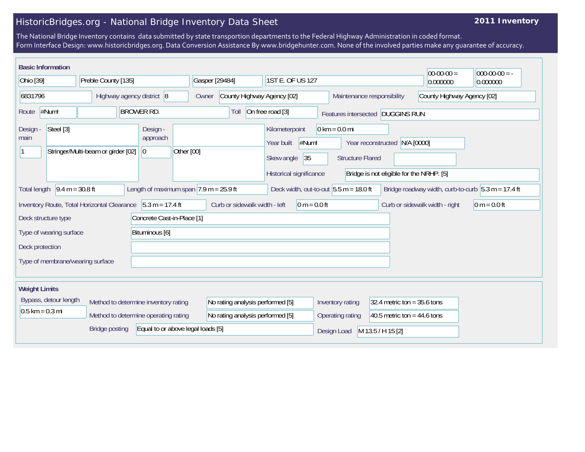## HistoricBridges.org - National Bridge Inventory Data Sheet

## **2011 Inventory**

The National Bridge Inventory contains data submitted by state transportion departments to the Federal Highway Administration in coded format. Form Interface Design: www.historicbridges.org. Data Conversion Assistance By www.bridgehunter.com. None of the involved parties make any guarantee of accuracy.

|                                                            | <b>Basic Information</b>                                                                                                                                                                                                                               |                                                             |  |                                      |                                     |                |                               |                  |                                                                       |                |             |                                                            |                               |            | $00-00-00 =$                   | $ 000-00-00 $ = - |
|------------------------------------------------------------|--------------------------------------------------------------------------------------------------------------------------------------------------------------------------------------------------------------------------------------------------------|-------------------------------------------------------------|--|--------------------------------------|-------------------------------------|----------------|-------------------------------|------------------|-----------------------------------------------------------------------|----------------|-------------|------------------------------------------------------------|-------------------------------|------------|--------------------------------|-------------------|
| Ohio [39]                                                  |                                                                                                                                                                                                                                                        | Preble County [135]                                         |  |                                      |                                     | Gasper [29484] |                               | 1ST E. OF US 127 |                                                                       |                | 0.000000    | 0.000000                                                   |                               |            |                                |                   |
| 6831796                                                    |                                                                                                                                                                                                                                                        | Highway agency district 8                                   |  |                                      | County Highway Agency [02]<br>Owner |                |                               |                  | Maintenance responsibility                                            |                |             | County Highway Agency [02]                                 |                               |            |                                |                   |
| Route                                                      | #Num!                                                                                                                                                                                                                                                  |                                                             |  | <b>BROWER RD.</b>                    |                                     |                | Toll                          |                  | On free road [3]                                                      |                |             | Features intersected DUGGINS RUN                           |                               |            |                                |                   |
| Design<br>main                                             | Steel [3]                                                                                                                                                                                                                                              | Stringer/Multi-beam or girder [02]                          |  | Design -<br>approach<br> 0           | Other [00]                          |                |                               |                  | Kilometerpoint<br>Year built<br>Skew angle<br>Historical significance | #Num!<br>35    |             | $0 \text{ km} = 0.0 \text{ mi}$<br><b>Structure Flared</b> | Year reconstructed            | N/A [0000] |                                |                   |
|                                                            | Bridge is not eligible for the NRHP. [5]<br>Length of maximum span $ 7.9 \text{ m} = 25.9 \text{ ft} $<br>$9.4 m = 30.8 ft$<br>Deck width, out-to-out $5.5 m = 18.0 ft$<br>Bridge roadway width, curb-to-curb $5.3 m = 17.4 ft$<br><b>Total length</b> |                                                             |  |                                      |                                     |                |                               |                  |                                                                       |                |             |                                                            |                               |            |                                |                   |
|                                                            |                                                                                                                                                                                                                                                        | Inventory Route, Total Horizontal Clearance 5.3 m = 17.4 ft |  |                                      |                                     |                | Curb or sidewalk width - left |                  |                                                                       | $0 m = 0.0 ft$ |             |                                                            |                               |            | Curb or sidewalk width - right | $0 m = 0.0 ft$    |
|                                                            | Deck structure type                                                                                                                                                                                                                                    |                                                             |  | Concrete Cast-in-Place [1]           |                                     |                |                               |                  |                                                                       |                |             |                                                            |                               |            |                                |                   |
|                                                            | Type of wearing surface                                                                                                                                                                                                                                |                                                             |  | Bituminous [6]                       |                                     |                |                               |                  |                                                                       |                |             |                                                            |                               |            |                                |                   |
| Deck protection                                            |                                                                                                                                                                                                                                                        |                                                             |  |                                      |                                     |                |                               |                  |                                                                       |                |             |                                                            |                               |            |                                |                   |
|                                                            | Type of membrane/wearing surface                                                                                                                                                                                                                       |                                                             |  |                                      |                                     |                |                               |                  |                                                                       |                |             |                                                            |                               |            |                                |                   |
| <b>Weight Limits</b>                                       |                                                                                                                                                                                                                                                        |                                                             |  |                                      |                                     |                |                               |                  |                                                                       |                |             |                                                            |                               |            |                                |                   |
|                                                            | Bypass, detour length                                                                                                                                                                                                                                  |                                                             |  | Method to determine inventory rating |                                     |                |                               |                  | No rating analysis performed [5]                                      |                |             | Inventory rating                                           | 32.4 metric ton = $35.6$ tons |            |                                |                   |
| $0.5$ km = 0.3 mi                                          |                                                                                                                                                                                                                                                        |                                                             |  | Method to determine operating rating |                                     |                |                               |                  | No rating analysis performed [5]                                      |                |             | Operating rating                                           | 40.5 metric ton = 44.6 tons   |            |                                |                   |
| Equal to or above legal loads [5]<br><b>Bridge posting</b> |                                                                                                                                                                                                                                                        |                                                             |  |                                      |                                     |                |                               |                  |                                                                       |                | Design Load | M 13.5 / H 15 [2]                                          |                               |            |                                |                   |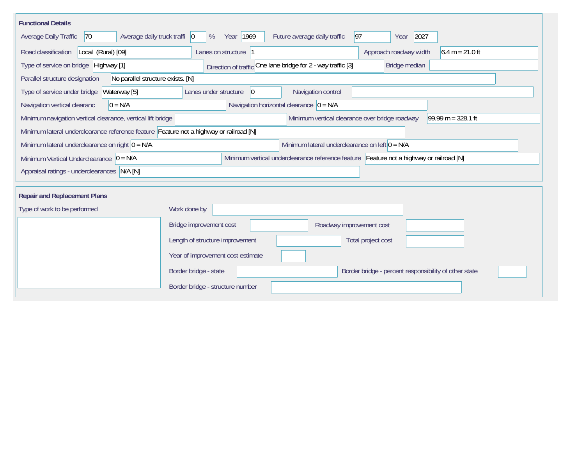| <b>Functional Details</b>                                                              |                                                                                         |
|----------------------------------------------------------------------------------------|-----------------------------------------------------------------------------------------|
| Average daily truck traffi   0<br>Average Daily Traffic<br> 70                         | Year 1969<br> 97 <br>Future average daily traffic<br>2027<br>%<br>Year                  |
| Road classification<br>Local (Rural) [09]                                              | Approach roadway width<br>$6.4 m = 21.0 ft$<br>Lanes on structure 1                     |
| Type of service on bridge Highway [1]                                                  | Direction of traffic One lane bridge for 2 - way traffic [3]<br>Bridge median           |
| Parallel structure designation<br>No parallel structure exists. [N]                    |                                                                                         |
| Type of service under bridge<br>Waterway [5]                                           | $ 0\rangle$<br>Navigation control<br>Lanes under structure                              |
| $0 = N/A$<br>Navigation vertical clearanc                                              | Navigation horizontal clearance $ 0 = N/A $                                             |
| Minimum navigation vertical clearance, vertical lift bridge                            | Minimum vertical clearance over bridge roadway<br>$99.99 m = 328.1 ft$                  |
| Minimum lateral underclearance reference feature Feature not a highway or railroad [N] |                                                                                         |
| Minimum lateral underclearance on right $0 = N/A$                                      | Minimum lateral underclearance on left $0 = N/A$                                        |
| Minimum Vertical Underclearance $ 0 = N/A$                                             | Minimum vertical underclearance reference feature Feature not a highway or railroad [N] |
| Appraisal ratings - underclearances N/A [N]                                            |                                                                                         |
|                                                                                        |                                                                                         |
| <b>Repair and Replacement Plans</b>                                                    |                                                                                         |
| Type of work to be performed                                                           | Work done by                                                                            |
|                                                                                        | Bridge improvement cost<br>Roadway improvement cost                                     |
|                                                                                        | Length of structure improvement<br>Total project cost                                   |
|                                                                                        | Year of improvement cost estimate                                                       |
|                                                                                        | Border bridge - state<br>Border bridge - percent responsibility of other state          |
|                                                                                        | Border bridge - structure number                                                        |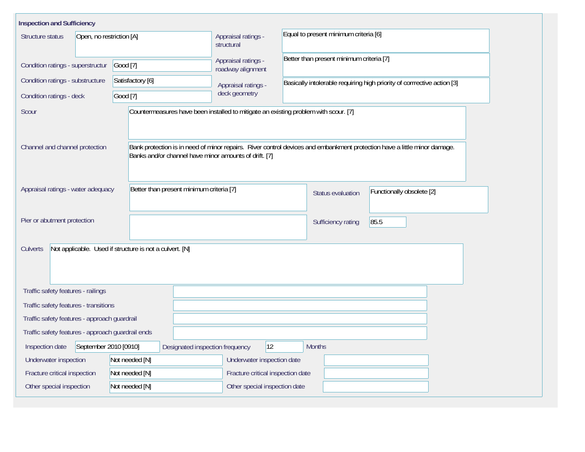| <b>Inspection and Sufficiency</b>                                   |                                                       |                                                                                     |                                                                                                                          |  |  |  |  |  |
|---------------------------------------------------------------------|-------------------------------------------------------|-------------------------------------------------------------------------------------|--------------------------------------------------------------------------------------------------------------------------|--|--|--|--|--|
| Structure status<br>Open, no restriction [A]                        |                                                       | Appraisal ratings -<br>structural                                                   | Equal to present minimum criteria [6]                                                                                    |  |  |  |  |  |
| Condition ratings - superstructur                                   | Good [7]                                              | Appraisal ratings -<br>roadway alignment                                            | Better than present minimum criteria [7]                                                                                 |  |  |  |  |  |
| Condition ratings - substructure                                    | Satisfactory [6]                                      | Appraisal ratings -                                                                 | Basically intolerable requiring high priority of corrrective action [3]                                                  |  |  |  |  |  |
| Good [7]<br>Condition ratings - deck                                |                                                       | deck geometry                                                                       |                                                                                                                          |  |  |  |  |  |
| Scour                                                               |                                                       | Countermeasures have been installed to mitigate an existing problem with scour. [7] |                                                                                                                          |  |  |  |  |  |
| Channel and channel protection                                      | Banks and/or channel have minor amounts of drift. [7] |                                                                                     | Bank protection is in need of minor repairs. River control devices and embankment protection have a little minor damage. |  |  |  |  |  |
| Appraisal ratings - water adequacy                                  | Better than present minimum criteria [7]              |                                                                                     | Functionally obsolete [2]<br>Status evaluation                                                                           |  |  |  |  |  |
| Pier or abutment protection                                         |                                                       |                                                                                     | 85.5<br>Sufficiency rating                                                                                               |  |  |  |  |  |
| Not applicable. Used if structure is not a culvert. [N]<br>Culverts |                                                       |                                                                                     |                                                                                                                          |  |  |  |  |  |
| Traffic safety features - railings                                  |                                                       |                                                                                     |                                                                                                                          |  |  |  |  |  |
| Traffic safety features - transitions                               |                                                       |                                                                                     |                                                                                                                          |  |  |  |  |  |
| Traffic safety features - approach guardrail                        |                                                       |                                                                                     |                                                                                                                          |  |  |  |  |  |
| Traffic safety features - approach guardrail ends                   |                                                       |                                                                                     |                                                                                                                          |  |  |  |  |  |
| September 2010 [0910]<br>Inspection date                            | Designated inspection frequency                       | 12                                                                                  | <b>Months</b>                                                                                                            |  |  |  |  |  |
| Underwater inspection                                               | Not needed [N]                                        | Underwater inspection date                                                          |                                                                                                                          |  |  |  |  |  |
| Fracture critical inspection                                        | Not needed [N]                                        | Fracture critical inspection date                                                   |                                                                                                                          |  |  |  |  |  |
| Other special inspection                                            | Not needed [N]                                        | Other special inspection date                                                       |                                                                                                                          |  |  |  |  |  |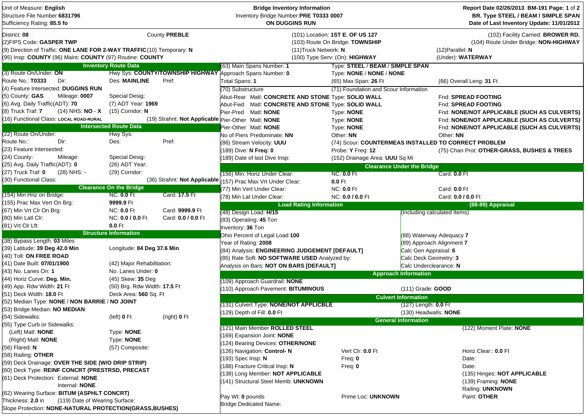| Structure File Number 6831796<br>Inventory Bridge Number:PRE T0333 0007<br>ON DUGGINS RUN<br>Sufficiency Rating: 85.5 fo                                                                                                                                                                                                                                                       | Report Date 02/26/2013 BM-191 Page: 1 of 2<br>BR. Type STEEL / BEAM / SIMPLE SPAN<br>Date of Last Inventory Update: 11/01/2012 |
|--------------------------------------------------------------------------------------------------------------------------------------------------------------------------------------------------------------------------------------------------------------------------------------------------------------------------------------------------------------------------------|--------------------------------------------------------------------------------------------------------------------------------|
| County PREBLE<br>District: 08<br>(101) Location: 1ST E. OF US 127<br>(2) FIPS Code: GASPER TWP<br>(103) Route On Bridge: TOWNSHIP<br>(9) Direction of Traffic: ONE LANE FOR 2-WAY TRAFFIC (10) Temporary: N<br>(11) Truck Network: N<br>$(12)$ Parallel: N<br>(95) Insp: COUNTY (96) Maint: COUNTY (97) Routine: COUNTY<br>(100) Type Serv: (On): HIGHWAY<br>(Under): WATERWAY | (102) Facility Carried: BROWER RD.<br>(104) Route Under Bridge: NON-HIGHWAY                                                    |
| <b>Inventory Route Data</b><br>Type: STEEL / BEAM / SIMPLE SPAN<br>(63) Main Spans Number: 1                                                                                                                                                                                                                                                                                   |                                                                                                                                |
| (3) Route On/Under: ON<br>Hwy Sys: COUNTY/TOWNSHIP HIGHWAY Approach Spans Number: 0<br>Type: NONE / NONE / NONE                                                                                                                                                                                                                                                                |                                                                                                                                |
| Route No.: T0333<br><b>Des: MAINLINE</b><br>Dir:<br>Pref:<br>Total Spans: 1<br>(65) Max Span: 26 Ft<br>(66) Overall Leng: 31 Ft                                                                                                                                                                                                                                                |                                                                                                                                |
| (4) Feature Intersected: DUGGINS RUN<br>(70) Substructure<br>(71) Foundation and Scour Information                                                                                                                                                                                                                                                                             |                                                                                                                                |
| (5) County: GAS<br>Special Desig:<br>Mileage: 0007<br>Abut-Rear Matl: CONCRETE AND STONE Type: SOLID WALL<br>Fnd: SPREAD FOOTING                                                                                                                                                                                                                                               |                                                                                                                                |
| (6) Avg. Daily Traffic(ADT): 70<br>(7) ADT Year: 1969<br>Abut-Fwd Matl: CONCRETE AND STONE Type: SOLID WALL<br>Fnd: SPREAD FOOTING                                                                                                                                                                                                                                             |                                                                                                                                |
| (8) Truck Traf: 7<br>$(14)$ NHS: NO - X<br>$(15)$ Corridor: N<br>Pier-Pred Matl: NONE<br>Type: <b>NONE</b>                                                                                                                                                                                                                                                                     | Fnd: NONE/NOT APPLICABLE (SUCH AS CULVERTS)                                                                                    |
| (16) Functional Class: LOCAL ROAD-RURAL<br>(19) Strahnt: Not Applicable Pier-Other Matl: NONE<br>Type: NONE                                                                                                                                                                                                                                                                    | Fnd: NONE/NOT APPLICABLE (SUCH AS CULVERTS)                                                                                    |
| <b>Intersected Route Data</b><br>Pier-Other Matl: NONE<br>Type: NONE                                                                                                                                                                                                                                                                                                           | Fnd: NONE/NOT APPLICABLE (SUCH AS CULVERTS)                                                                                    |
| (22) Route On/Under:<br>Hwy Sys:<br>No of Piers Predominate: NN<br>Other: NN<br>Other: NN                                                                                                                                                                                                                                                                                      |                                                                                                                                |
| Pref:<br>Route No.:<br>Dir:<br>Des:<br>(86) Stream Velocity: UUU<br>(74) Scour: COUNTERMEAS INSTALLED TO CORRECT PROBLEM                                                                                                                                                                                                                                                       |                                                                                                                                |
| (23) Feature Intersected:<br>(189) Dive: N Freq: 0<br>Probe: Y Freq: 12                                                                                                                                                                                                                                                                                                        | (75) Chan Prot: OTHER-GRASS, BUSHES & TREES                                                                                    |
| (24) County:<br>Special Desig:<br>Mileage:<br>(189) Date of last Dive Insp:<br>(152) Drainage Area: UUU Sq Mi                                                                                                                                                                                                                                                                  |                                                                                                                                |
| (25) Avg. Daily Traffic(ADT): 0<br>(26) ADT Year:<br><b>Clearance Under the Bridge</b>                                                                                                                                                                                                                                                                                         |                                                                                                                                |
| (27) Truck Traf: 0<br>(29) Corridor:<br>(28) NHS: -<br><b>NC: 0.0 Ft</b><br>(156) Min. Horiz Under Clear:<br>Card: 0.0 Ft                                                                                                                                                                                                                                                      |                                                                                                                                |
| (30) Functional Class:<br>(36) Strahnt: Not Applicable<br>157) Prac Max Vrt Under Clear:<br>$0.0$ Ft                                                                                                                                                                                                                                                                           |                                                                                                                                |
| <b>Clearance On the Bridge</b><br>(77) Min Vert Under Clear:<br><b>NC: 0.0 Ft</b><br>Card: 0.0 Ft                                                                                                                                                                                                                                                                              |                                                                                                                                |
| <b>NC: 0.0 Ft</b><br>Card: 17.5 Ft<br>(154) Min Hriz on Bridge:<br>(78) Min Lat Under Clear:<br>NC: 0.0 / 0.0 Ft<br>Card: 0.0 / 0.0 Ft                                                                                                                                                                                                                                         |                                                                                                                                |
| (155) Prac Max Vert On Brg:<br>9999.9 Ft<br><b>Load Rating Information</b>                                                                                                                                                                                                                                                                                                     | (88-89) Appraisal                                                                                                              |
| (67) Min Vrt Clr On Brg:<br><b>NC: 0.0 Ft</b><br>Card: 9999.9 Ft<br>(48) Design Load: H/15<br>(Including calculated Items)                                                                                                                                                                                                                                                     |                                                                                                                                |
| (80) Min Latl Clr:<br>NC: 0.0 / 0.0 Ft<br>Card: 0.0 / 0.0 Ft<br>(83) Operating: 45 Ton                                                                                                                                                                                                                                                                                         |                                                                                                                                |
| 0.0 Ft<br>(81) Vrt Clr Lft:<br>Inventory: 36 Ton                                                                                                                                                                                                                                                                                                                               |                                                                                                                                |
| <b>Structure Information</b><br>Ohio Percent of Legal Load 100<br>(88) Waterway Adequacy 7                                                                                                                                                                                                                                                                                     |                                                                                                                                |
| (38) Bypass Length: 03 Miles<br>Year of Rating: 2008<br>(89) Approach Alignment 7                                                                                                                                                                                                                                                                                              |                                                                                                                                |
| (39) Latitude: 39 Deg 42.0 Min<br>Longitude: 84 Deg 37.6 Min<br>(84) Analysis: ENGINEERING JUDGEMENT [DEFAULT]<br>Calc Gen Appraisal: 6                                                                                                                                                                                                                                        |                                                                                                                                |
| (40) Toll: ON FREE ROAD<br>(85) Rate Soft: NO SOFTWARE USED Analyzed by:<br>Calc Deck Geometry: 3                                                                                                                                                                                                                                                                              |                                                                                                                                |
| (41) Date Built: 07/01/1900<br>(42) Major Rehabilitation:<br>Analysis on Bars: NOT ON BARS [DEFAULT]<br>Calc Underclearance: N                                                                                                                                                                                                                                                 |                                                                                                                                |
| (43) No. Lanes On: 1<br>No. Lanes Under: 0<br><b>Approach Information</b>                                                                                                                                                                                                                                                                                                      |                                                                                                                                |
| (44) Horiz Curve: Deg. Min.<br>(45) Skew: 35 Deg<br>(109) Approach Guardrail: NONE                                                                                                                                                                                                                                                                                             |                                                                                                                                |
| (49) App. Rdw Width: 21 Ft<br>(50) Brg. Rdw Width: 17.5 Ft<br>(110) Approach Pavement: BITUMINOUS<br>(111) Grade: GOOD                                                                                                                                                                                                                                                         |                                                                                                                                |
| (51) Deck Width: 18.0 Ft<br>Deck Area: 560 Sq. Ft<br><b>Culvert Information</b>                                                                                                                                                                                                                                                                                                |                                                                                                                                |
| (52) Median Type: NONE / NON BARRIE / NO JOINT<br>(131) Culvert Type: NONE/NOT APPLICBLE<br>$(127)$ Length: <b>0.0</b> Ft                                                                                                                                                                                                                                                      |                                                                                                                                |
| (53) Bridge Median: NO MEDIAN<br>(129) Depth of Fill: 0.0 Ft<br>(130) Headwalls: NONE                                                                                                                                                                                                                                                                                          |                                                                                                                                |
| (54) Sidewalks:<br>(left) 0 Ft<br>(right) 0 Ft                                                                                                                                                                                                                                                                                                                                 |                                                                                                                                |
| <b>General Information</b><br>(55) Type Curb or Sidewalks:                                                                                                                                                                                                                                                                                                                     |                                                                                                                                |
| (121) Main Member ROLLED STEEL<br>(Left) Matl: NONE<br>Type: NONE                                                                                                                                                                                                                                                                                                              | (122) Moment Plate: NONE                                                                                                       |
| (169) Expansion Joint: NONE<br>Type: NONE<br>(Right) Matl: NONE                                                                                                                                                                                                                                                                                                                |                                                                                                                                |
| (124) Bearing Devices: OTHER/NONE<br>(56) Flared: N<br>(57) Composite:                                                                                                                                                                                                                                                                                                         |                                                                                                                                |
| (126) Navigation: Control-N<br>Vert Clr: 0.0 Ft<br>(58) Railing: OTHER                                                                                                                                                                                                                                                                                                         | Horiz Clear:: 0.0 Ft                                                                                                           |
| (193) Spec Insp: N<br>Freq: $0$<br>Date:<br>(59) Deck Drainage: OVER THE SIDE (W/O DRIP STRIP)                                                                                                                                                                                                                                                                                 |                                                                                                                                |
| 188) Fracture Critical Insp: N<br>Freq: $0$<br>Date:<br>(60) Deck Type: REINF CONCRT (PRESTRSD, PRECAST                                                                                                                                                                                                                                                                        |                                                                                                                                |
| (138) Long Member: NOT APPLICABLE<br>(61) Deck Protection: External: NONE                                                                                                                                                                                                                                                                                                      | (135) Hinges: NOT APPLICABLE                                                                                                   |
| (141) Structural Steel Memb: UNKNOWN<br>Internal: NONE                                                                                                                                                                                                                                                                                                                         | (139) Framing: NONE                                                                                                            |
|                                                                                                                                                                                                                                                                                                                                                                                | Railing: UNKNOWN                                                                                                               |
|                                                                                                                                                                                                                                                                                                                                                                                |                                                                                                                                |
| (62) Wearing Surface: BITUM (ASPHLT CONCRT)<br>Pay Wt: 0 pounds<br>Prime Loc: UNKNOWN<br>Paint: OTHER<br>Thickness: 2.0 in<br>(119) Date of Wearing Surface:<br><b>Bridge Dedicated Name:</b>                                                                                                                                                                                  |                                                                                                                                |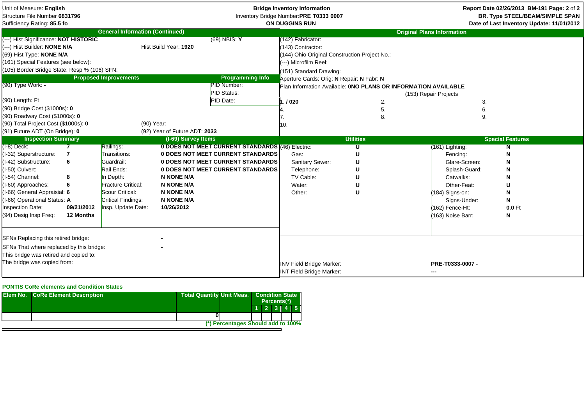| Unit of Measure: English<br>Structure File Number 6831796<br>Sufficiency Rating: 85.5 fo                                                                                                                                                                                                            |                                             |                                                                                                                                                         |                                                                                                |                                                                                                                                                                 | <b>Bridge Inventory Information</b><br>Inventory Bridge Number:PRE T0333 0007<br><b>ON DUGGINS RUN</b>                                                                                            |                    | Report Date 02/26/2013 BM-191 Page: 2 of 2<br><b>BR. Type STEEL/BEAM/SIMPLE SPAN</b><br>Date of Last Inventory Update: 11/01/2012                                      |                                                       |  |
|-----------------------------------------------------------------------------------------------------------------------------------------------------------------------------------------------------------------------------------------------------------------------------------------------------|---------------------------------------------|---------------------------------------------------------------------------------------------------------------------------------------------------------|------------------------------------------------------------------------------------------------|-----------------------------------------------------------------------------------------------------------------------------------------------------------------|---------------------------------------------------------------------------------------------------------------------------------------------------------------------------------------------------|--------------------|------------------------------------------------------------------------------------------------------------------------------------------------------------------------|-------------------------------------------------------|--|
|                                                                                                                                                                                                                                                                                                     |                                             | <b>General Information (Continued)</b>                                                                                                                  |                                                                                                |                                                                                                                                                                 |                                                                                                                                                                                                   |                    | <b>Original Plans Information</b>                                                                                                                                      |                                                       |  |
| (---) Hist Significance: NOT HISTORIC<br>(---) Hist Builder: NONE N/A<br>(69) Hist Type: NONE N/A<br>(161) Special Features (see below):<br>(105) Border Bridge State: Resp % (106) SFN:<br>(90) Type Work: -<br>(90) Length: Ft<br>(90) Bridge Cost (\$1000s): 0<br>(90) Roadway Cost (\$1000s): 0 |                                             | <b>Proposed Improvements</b>                                                                                                                            | Hist Build Year: 1920                                                                          | $(69)$ NBIS: Y<br><b>Programming Info</b><br>PID Number:<br><b>PID Status:</b><br>PID Date:                                                                     | 142) Fabricator:<br>(143) Contractor:<br>(144) Ohio Original Construction Project No.:<br>---) Microfilm Reel:<br>(151) Standard Drawing:<br>Aperture Cards: Orig: N Repair: N Fabr: N<br>. / 020 | 2.<br>5.<br>8.     | Plan Information Available: ONO PLANS OR INFORMATION AVAILABLE<br>(153) Repair Projects<br>3.<br>6.<br>9.                                                              |                                                       |  |
| (90) Total Project Cost (\$1000s): 0                                                                                                                                                                                                                                                                |                                             | (90) Year:                                                                                                                                              |                                                                                                |                                                                                                                                                                 | ΙΟ.                                                                                                                                                                                               |                    |                                                                                                                                                                        |                                                       |  |
| (91) Future ADT (On Bridge): 0                                                                                                                                                                                                                                                                      |                                             |                                                                                                                                                         | (92) Year of Future ADT: 2033                                                                  |                                                                                                                                                                 |                                                                                                                                                                                                   |                    |                                                                                                                                                                        |                                                       |  |
| <b>Inspection Summary</b>                                                                                                                                                                                                                                                                           |                                             |                                                                                                                                                         | (I-69) Survey Items                                                                            |                                                                                                                                                                 |                                                                                                                                                                                                   | <b>Utilities</b>   |                                                                                                                                                                        | <b>Special Features</b>                               |  |
| (I-8) Deck:<br>(I-32) Superstructure:<br>(I-42) Substructure:<br>(I-50) Culvert:<br>I-54) Channel:<br>(I-60) Approaches:<br>(I-66) General Appraisial: 6<br>I-66) Operational Status: A<br>nspection Date:<br>(94) Desig Insp Freq:                                                                 | 7<br>6<br>8<br>6<br>09/21/2012<br>12 Months | Railings:<br>Transitions:<br>Guardrail:<br>Rail Ends:<br>In Depth:<br>Fracture Critical:<br>Scour Critical:<br>Critical Findings:<br>Insp. Update Date: | <b>N NONE N/A</b><br><b>N NONE N/A</b><br><b>N NONE N/A</b><br><b>N NONE N/A</b><br>10/26/2012 | 0 DOES NOT MEET CURRENT STANDARDS (46) Electric:<br>0 DOES NOT MEET CURRENT STANDARDS<br>0 DOES NOT MEET CURRENT STANDARDS<br>0 DOES NOT MEET CURRENT STANDARDS | Gas:<br>Sanitary Sewer:<br>Telephone:<br>TV Cable:<br>Water:<br>Other:                                                                                                                            | ้ น<br>U<br>U<br>U | (161) Lighting:<br>Fencing:<br>Glare-Screen:<br>Splash-Guard:<br>Catwalks:<br>Other-Feat:<br>(184) Signs-on:<br>Signs-Under:<br>$(162)$ Fence-Ht:<br>(163) Noise Barr: | N<br>N<br>N<br>N<br>N<br>U<br>N<br>N<br>$0.0$ Ft<br>N |  |
| SFNs Replacing this retired bridge:<br>SFNs That where replaced by this bridge:<br>This bridge was retired and copied to:<br>The bridge was copied from:                                                                                                                                            |                                             |                                                                                                                                                         |                                                                                                |                                                                                                                                                                 | <b>INV Field Bridge Marker:</b><br><b>INT Field Bridge Marker:</b>                                                                                                                                |                    | PRE-T0333-0007 -<br>---                                                                                                                                                |                                                       |  |

## **PONTIS CoRe elements and Condition States**

| <b>Elem No. CoRe Element Description</b> |                                    | <b>Total Quantity Unit Meas.   Condition State</b><br>Percents(*) |  |           |  |  |
|------------------------------------------|------------------------------------|-------------------------------------------------------------------|--|-----------|--|--|
|                                          |                                    |                                                                   |  | 112131415 |  |  |
|                                          |                                    |                                                                   |  |           |  |  |
|                                          | (*) Percentages Should add to 100% |                                                                   |  |           |  |  |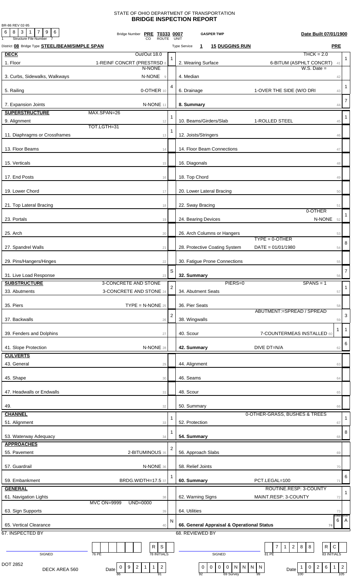## STATE OF OHIO DEPARTMENT OF TRANSPORTATION **BRIDGE INSPECTION REPORT**

BR-86 REV 02-95

| 6<br>$8$ 3 1<br>7 9 6<br><b>Structure File Number</b> | Bridge Number PRE T0333 0007<br><b>ROUTE</b>                                       |                | Date Built 07/01/1900<br><b>GASPER TWP</b><br><b>UNIT</b>                                                                                                                                     |                |
|-------------------------------------------------------|------------------------------------------------------------------------------------|----------------|-----------------------------------------------------------------------------------------------------------------------------------------------------------------------------------------------|----------------|
| District 08 Bridge Type <b>STEEL/BEAM/SIMPLE SPAN</b> |                                                                                    |                | <b>PRE</b><br><b>15 DUGGINS RUN</b><br><b>Type Service</b><br>1                                                                                                                               |                |
| <b>DECK</b>                                           | Out/Out 18.0                                                                       |                | $THCK = 2.0$                                                                                                                                                                                  |                |
| 1. Floor                                              | 1-REINF CONCRT (PRESTRSD 8                                                         |                | 2. Wearing Surface<br>6-BITUM (ASPHLT CONCRT)<br>41                                                                                                                                           | 1              |
|                                                       | N-NONE                                                                             |                | $W.S.$ Date $=$                                                                                                                                                                               |                |
| 3. Curbs, Sidewalks, Walkways                         | N-NONE<br>$\overline{9}$                                                           |                | 4. Median<br>42                                                                                                                                                                               |                |
|                                                       |                                                                                    | 4              |                                                                                                                                                                                               | $\mathbf{1}$   |
| 5. Railing                                            | 0-OTHER 10                                                                         |                | 6. Drainage<br>1-OVER THE SIDE (W/O DRI<br>43                                                                                                                                                 |                |
| 7. Expansion Joints                                   | N-NONE 11                                                                          |                | 8. Summary<br>44                                                                                                                                                                              | $\overline{7}$ |
| <b>SUPERSTRUCTURE</b>                                 | MAX.SPAN=26                                                                        |                |                                                                                                                                                                                               |                |
| 9. Alignment                                          | 12                                                                                 | 1              | 10. Beams/Girders/Slab<br>1-ROLLED STEEL<br>45                                                                                                                                                | $\mathbf{1}$   |
|                                                       | TOT.LGTH=31                                                                        |                |                                                                                                                                                                                               |                |
| 11. Diaphragms or Crossframes                         | 13                                                                                 |                | 12. Joists/Stringers<br>46                                                                                                                                                                    |                |
|                                                       |                                                                                    |                |                                                                                                                                                                                               |                |
| 13. Floor Beams                                       | 14                                                                                 |                | 14. Floor Beam Connections<br>47                                                                                                                                                              |                |
| 15. Verticals                                         | 15                                                                                 |                | 16. Diagonals<br>48                                                                                                                                                                           |                |
|                                                       |                                                                                    |                |                                                                                                                                                                                               |                |
| 17. End Posts                                         | 16                                                                                 |                | 18. Top Chord<br>49                                                                                                                                                                           |                |
|                                                       |                                                                                    |                |                                                                                                                                                                                               |                |
| 19. Lower Chord                                       | 17                                                                                 |                | 20. Lower Lateral Bracing<br>50                                                                                                                                                               |                |
|                                                       |                                                                                    |                |                                                                                                                                                                                               |                |
| 21. Top Lateral Bracing                               | 18                                                                                 |                | 22. Sway Bracing<br>51<br>0-OTHER                                                                                                                                                             |                |
| 23. Portals                                           | 19                                                                                 |                | N-NONE 52<br>24. Bearing Devices                                                                                                                                                              |                |
|                                                       |                                                                                    |                |                                                                                                                                                                                               |                |
| 25. Arch                                              | 20                                                                                 |                | 26. Arch Columns or Hangers<br>53                                                                                                                                                             |                |
|                                                       |                                                                                    |                | $TYPE = 0 - OTHER$                                                                                                                                                                            | 8              |
| 27. Spandrel Walls                                    | 21                                                                                 |                | 28. Protective Coating System<br>$DATA = 01/01/1980$<br>54                                                                                                                                    |                |
|                                                       |                                                                                    |                |                                                                                                                                                                                               |                |
| 29. Pins/Hangers/Hinges                               | 22                                                                                 |                | 30. Fatigue Prone Connections<br>55                                                                                                                                                           |                |
| 31. Live Load Response                                | 23                                                                                 | S              | 32. Summary<br>56                                                                                                                                                                             | $\overline{7}$ |
| <b>SUBSTRUCTURE</b>                                   | 3-CONCRETE AND STONE                                                               |                | PIERS=0<br>$SPANS = 1$                                                                                                                                                                        |                |
| 33. Abutments                                         | 3-CONCRETE AND STONE 24                                                            | $\overline{a}$ | 34. Abutment Seats<br>57                                                                                                                                                                      | $\mathbf{1}$   |
|                                                       |                                                                                    |                |                                                                                                                                                                                               |                |
| 35. Piers                                             | $\mathsf{TYPE} = \mathsf{N}\text{-}\mathsf{NONE}$ 25                               |                | 36. Pier Seats<br>58                                                                                                                                                                          |                |
|                                                       |                                                                                    | $\overline{2}$ | ABUTMENT:=SPREAD / SPREAD                                                                                                                                                                     | 3              |
| 37. Backwalls                                         | 26                                                                                 |                | 38. Wingwalls<br>59                                                                                                                                                                           |                |
| 39. Fenders and Dolphins                              | 27                                                                                 |                | -1<br>40. Scour<br>7-COUNTERMEAS INSTALLED 60                                                                                                                                                 | $\overline{1}$ |
|                                                       |                                                                                    |                |                                                                                                                                                                                               |                |
| 41. Slope Protection                                  | N-NONE 28                                                                          |                | DIVE DT=N/A<br>42. Summary<br>62                                                                                                                                                              | 6              |
| <b>CULVERTS</b>                                       |                                                                                    |                |                                                                                                                                                                                               |                |
| 43. General                                           | 29                                                                                 |                | 44. Alignment<br>63                                                                                                                                                                           |                |
|                                                       |                                                                                    |                |                                                                                                                                                                                               |                |
| 45. Shape                                             | 30                                                                                 |                | 46. Seams<br>64                                                                                                                                                                               |                |
| 47. Headwalls or Endwalls                             |                                                                                    |                | 48. Scour                                                                                                                                                                                     |                |
|                                                       | 31                                                                                 |                | 65                                                                                                                                                                                            |                |
| 49.                                                   | 32                                                                                 |                | 50. Summary<br>66                                                                                                                                                                             |                |
| <b>CHANNEL</b>                                        |                                                                                    |                | 0-OTHER-GRASS, BUSHES & TREES                                                                                                                                                                 |                |
| 51. Alignment                                         | 33                                                                                 | 1              | 52. Protection<br>67                                                                                                                                                                          | 1              |
|                                                       |                                                                                    | 1              |                                                                                                                                                                                               | 8              |
| 53. Waterway Adequacy                                 | 34                                                                                 |                | 54. Summary<br>68                                                                                                                                                                             |                |
| <b>APPROACHES</b>                                     |                                                                                    | 2              |                                                                                                                                                                                               |                |
| 55. Pavement                                          | 2-BITUMINOUS 35                                                                    |                | 56. Approach Slabs<br>69                                                                                                                                                                      |                |
|                                                       |                                                                                    |                |                                                                                                                                                                                               |                |
| 57. Guardrail                                         | N-NONE 36                                                                          |                | 58. Relief Joints<br>70                                                                                                                                                                       |                |
| 59. Embankment                                        | <b>BRDG.WIDTH=17.5 37</b>                                                          |                | 60. Summary<br>PCT.LEGAL=100<br>71                                                                                                                                                            | 6              |
| <b>GENERAL</b>                                        |                                                                                    |                | ROUTINE.RESP: 3-COUNTY                                                                                                                                                                        |                |
| 61. Navigation Lights                                 | 38                                                                                 |                | MAINT.RESP: 3-COUNTY<br>62. Warning Signs<br>72                                                                                                                                               | $\mathbf{1}$   |
|                                                       | <b>MVC ON=9999</b><br>UND=0000                                                     |                |                                                                                                                                                                                               |                |
| 63. Sign Supports                                     | 39                                                                                 |                | 64. Utilities<br>73                                                                                                                                                                           |                |
|                                                       |                                                                                    | N              | COND:<br>6                                                                                                                                                                                    | STAT<br>A      |
| 65. Vertical Clearance                                | 40                                                                                 |                | 66. General Appraisal & Operational Status<br>74                                                                                                                                              |                |
| 67. INSPECTED BY                                      |                                                                                    |                | 68. REVIEWED BY                                                                                                                                                                               |                |
|                                                       | S<br>R                                                                             |                | R<br>$\mathsf C$<br>$\overline{7}$<br>$2 \mid 8$<br>8<br>$\mathbf{1}$                                                                                                                         |                |
| SIGNED                                                | <b>78 INITIALS</b><br>76 PE                                                        |                | 81 PE<br>83 INITIALS<br>SIGNED                                                                                                                                                                |                |
|                                                       |                                                                                    |                |                                                                                                                                                                                               |                |
| DOT 2852<br>DECK AREA 560                             | $\overline{c}$<br>$\overline{2}$<br>9<br>$\mathbf{1}$<br>$\mathbf{1}$<br>0<br>Date |                | $6\overline{6}$<br>$\mathsf 0$<br>$\boldsymbol{0}$<br>${\sf N}$<br>$\vert N \vert$<br>$\overline{2}$<br>$\bf{0}$<br>$\mathbf 0$<br>N<br>$\overline{N}$<br>$\mathbf{1}$<br>$\mathbf 0$<br>Date | $\overline{2}$ |
|                                                       | 91<br>86                                                                           |                | 69 Survey<br>92<br>99<br>100                                                                                                                                                                  | 105            |